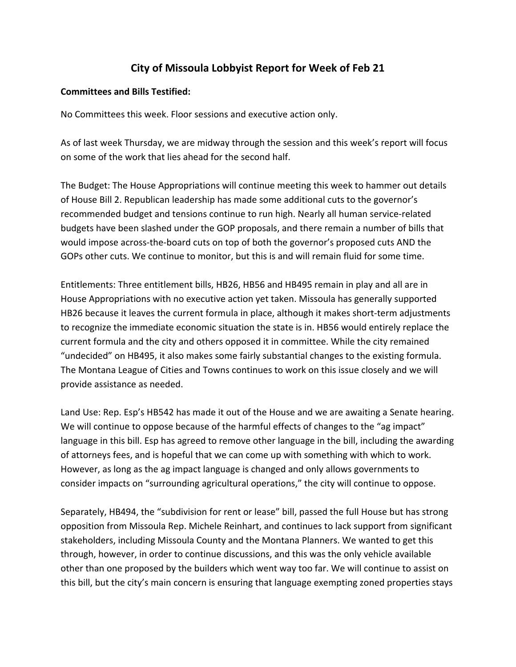## **City of Missoula Lobbyist Report for Week of Feb 21**

## **Committees and Bills Testified:**

No Committees this week. Floor sessions and executive action only.

As of last week Thursday, we are midway through the session and this week's report will focus on some of the work that lies ahead for the second half.

The Budget: The House Appropriations will continue meeting this week to hammer out details of House Bill 2. Republican leadership has made some additional cuts to the governor's recommended budget and tensions continue to run high. Nearly all human service-related budgets have been slashed under the GOP proposals, and there remain a number of bills that would impose across-the-board cuts on top of both the governor's proposed cuts AND the GOPs other cuts. We continue to monitor, but this is and will remain fluid for some time.

Entitlements: Three entitlement bills, HB26, HB56 and HB495 remain in play and all are in House Appropriations with no executive action yet taken. Missoula has generally supported HB26 because it leaves the current formula in place, although it makes short-term adjustments to recognize the immediate economic situation the state is in. HB56 would entirely replace the current formula and the city and others opposed it in committee. While the city remained "undecided" on HB495, it also makes some fairly substantial changes to the existing formula. The Montana League of Cities and Towns continues to work on this issue closely and we will provide assistance as needed.

Land Use: Rep. Esp's HB542 has made it out of the House and we are awaiting a Senate hearing. We will continue to oppose because of the harmful effects of changes to the "ag impact" language in this bill. Esp has agreed to remove other language in the bill, including the awarding of attorneys fees, and is hopeful that we can come up with something with which to work. However, as long as the ag impact language is changed and only allows governments to consider impacts on "surrounding agricultural operations," the city will continue to oppose.

Separately, HB494, the "subdivision for rent or lease" bill, passed the full House but has strong opposition from Missoula Rep. Michele Reinhart, and continues to lack support from significant stakeholders, including Missoula County and the Montana Planners. We wanted to get this through, however, in order to continue discussions, and this was the only vehicle available other than one proposed by the builders which went way too far. We will continue to assist on this bill, but the city's main concern is ensuring that language exempting zoned properties stays